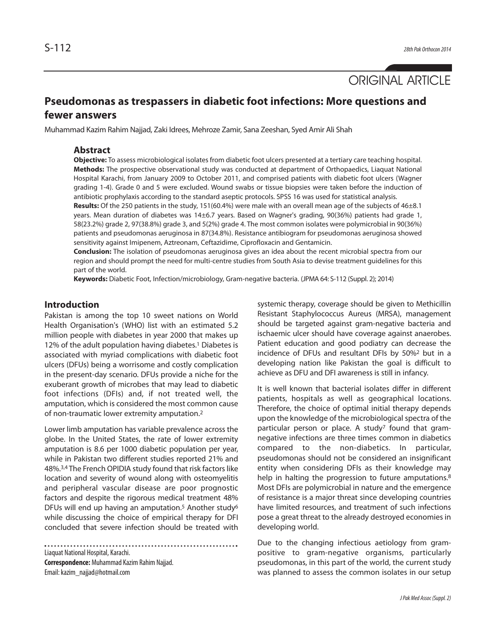ORIGINAL ARTICLE

# **Pseudomonas as trespassers in diabetic foot infections: More questions and fewer answers**

Muhammad Kazim Rahim Najjad, Zaki Idrees, Mehroze Zamir, Sana Zeeshan, Syed Amir Ali Shah

#### **Abstract**

**Objective:** To assess microbiological isolates from diabetic foot ulcers presented at a tertiary care teaching hospital. **Methods:** The prospective observational study was conducted at department of Orthopaedics, Liaquat National Hospital Karachi, from January 2009 to October 2011, and comprised patients with diabetic foot ulcers (Wagner grading 1-4). Grade 0 and 5 were excluded. Wound swabs or tissue biopsies were taken before the induction of antibiotic prophylaxis according to the standard aseptic protocols. SPSS 16 was used for statistical analysis.

**Results:** Of the 250 patients in the study, 151(60.4%) were male with an overall mean age of the subjects of 46±8.1 years. Mean duration of diabetes was 14±6.7 years. Based on Wagner's grading, 90(36%) patients had grade 1, 58(23.2%) grade 2, 97(38.8%) grade 3, and 5(2%) grade 4. The most common isolates were polymicrobial in 90(36%) patients and pseudomonas aeruginosa in 87(34.8%). Resistance antibiogram for pseudomonas aeruginosa showed sensitivity against Imipenem, Aztreonam, Ceftazidime, Ciprofloxacin and Gentamicin.

**Conclusion:** The isolation of pseudomonas aeruginosa gives an idea about the recent microbial spectra from our region and should prompt the need for multi-centre studies from South Asia to devise treatment guidelines for this part of the world.

**Keywords:** Diabetic Foot, Infection/microbiology, Gram-negative bacteria. (JPMA 64: S-112 (Suppl. 2); 2014)

### **Introduction**

Pakistan is among the top 10 sweet nations on World Health Organisation's (WHO) list with an estimated 5.2 million people with diabetes in year 2000 that makes up 12% of the adult population having diabetes.<sup>1</sup> Diabetes is associated with myriad complications with diabetic foot ulcers (DFUs) being a worrisome and costly complication in the present-day scenario. DFUs provide a niche for the exuberant growth of microbes that may lead to diabetic foot infections (DFIs) and, if not treated well, the amputation, which is considered the most common cause of non-traumatic lower extremity amputation.<sup>2</sup>

Lower limb amputation has variable prevalence across the globe. In the United States, the rate of lower extremity amputation is 8.6 per 1000 diabetic population per year, while in Pakistan two different studies reported 21% and 48%.3,4 The French OPIDIA study found that risk factors like location and severity of wound along with osteomyelitis and peripheral vascular disease are poor prognostic factors and despite the rigorous medical treatment 48% DFUs will end up having an amputation.<sup>5</sup> Another study<sup>6</sup> while discussing the choice of empirical therapy for DFI concluded that severe infection should be treated with

Liaquat National Hospital, Karachi. **Correspondence:** Muhammad Kazim Rahim Najjad. Email: kazim\_najjad@hotmail.com

systemic therapy, coverage should be given to Methicillin Resistant Staphylococcus Aureus (MRSA), management should be targeted against gram-negative bacteria and ischaemic ulcer should have coverage against anaerobes. Patient education and good podiatry can decrease the incidence of DFUs and resultant DFIs by 50%<sup>2</sup> but in a developing nation like Pakistan the goal is difficult to achieve as DFU and DFI awareness is still in infancy.

It is well known that bacterial isolates differ in different patients, hospitals as well as geographical locations. Therefore, the choice of optimal initial therapy depends upon the knowledge of the microbiological spectra of the particular person or place. A study<sup>7</sup> found that gramnegative infections are three times common in diabetics compared to the non-diabetics. In particular, pseudomonas should not be considered an insignificant entity when considering DFIs as their knowledge may help in halting the progression to future amputations.<sup>8</sup> Most DFIs are polymicrobial in nature and the emergence of resistance is a major threat since developing countries have limited resources, and treatment of such infections pose a great threat to the already destroyed economies in developing world.

Due to the changing infectious aetiology from grampositive to gram-negative organisms, particularly pseudomonas, in this part of the world, the current study was planned to assess the common isolates in our setup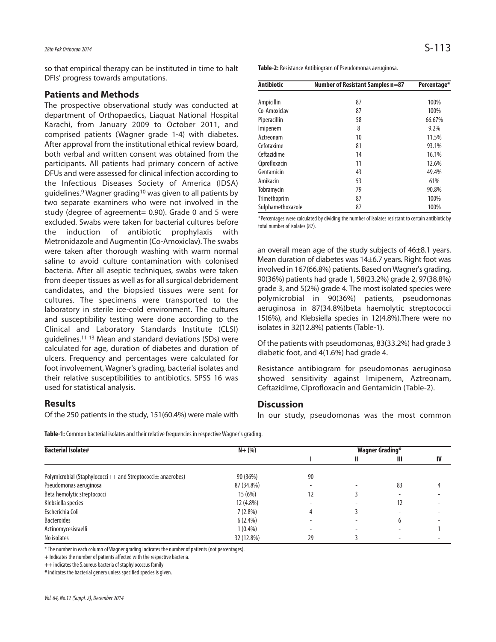## 28th Pak Orthocon 2014  $S-1\,13$

so that empirical therapy can be instituted in time to halt DFIs' progress towards amputations.

#### **Patients and Methods**

The prospective observational study was conducted at department of Orthopaedics, Liaquat National Hospital Karachi, from January 2009 to October 2011, and comprised patients (Wagner grade 1-4) with diabetes. After approval from the institutional ethical review board, both verbal and written consent was obtained from the participants. All patients had primary concern of active DFUs and were assessed for clinical infection according to the Infectious Diseases Society of America (IDSA) guidelines.<sup>9</sup> Wagner grading<sup>10</sup> was given to all patients by two separate examiners who were not involved in the study (degree of agreement= 0.90). Grade 0 and 5 were excluded. Swabs were taken for bacterial cultures before the induction of antibiotic prophylaxis with Metronidazole and Augmentin (Co-Amoxiclav). The swabs were taken after thorough washing with warm normal saline to avoid culture contamination with colonised bacteria. After all aseptic techniques, swabs were taken from deeper tissues as well as for all surgical debridement candidates, and the biopsied tissues were sent for cultures. The specimens were transported to the laboratory in sterile ice-cold environment. The cultures and susceptibility testing were done according to the Clinical and Laboratory Standards Institute (CLSI) guidelines.11-13 Mean and standard deviations (SDs) were calculated for age, duration of diabetes and duration of ulcers. Frequency and percentages were calculated for foot involvement, Wagner's grading, bacterial isolates and their relative susceptibilities to antibiotics. SPSS 16 was used for statistical analysis.

#### **Results**

Of the 250 patients in the study, 151(60.4%) were male with

**Table-2:** Resistance Antibiogram of Pseudomonas aeruginosa.

| <b>Antibiotic</b> | Number of Resistant Samples n=87 | Percentage* |  |
|-------------------|----------------------------------|-------------|--|
|                   |                                  |             |  |
| Ampicillin        | 87                               | 100%        |  |
| Co-Amoxiclav      | 87                               | 100%        |  |
| Piperacillin      | 58                               | 66.67%      |  |
| Imipenem          | 8                                | 9.2%        |  |
| Aztreonam         | 10                               | 11.5%       |  |
| Cefotaxime        | 81                               | 93.1%       |  |
| Ceftazidime       | 14                               | 16.1%       |  |
| Ciprofloxacin     | 11                               | 12.6%       |  |
| Gentamicin        | 43                               | 49.4%       |  |
| Amikacin          | 53                               | 61%         |  |
| Tobramycin        | 79                               | 90.8%       |  |
| Trimethoprim      | 87                               | 100%        |  |
| Sulphamethoxazole | 87                               | 100%        |  |

\*Percentages were calculated by dividing the number of isolates resistant to certain antibiotic by total number of isolates (87).

an overall mean age of the study subjects of 46±8.1 years. Mean duration of diabetes was 14±6.7 years. Right foot was involved in 167(66.8%) patients. Based on Wagner's grading, 90(36%) patients had grade 1, 58(23.2%) grade 2, 97(38.8%) grade 3, and 5(2%) grade 4. The most isolated species were polymicrobial in 90(36%) patients, pseudomonas aeruginosa in 87(34.8%)beta haemolytic streptococci 15(6%), and Klebsiella species in 12(4.8%).There were no isolates in 32(12.8%) patients (Table-1).

Of the patients with pseudomonas, 83(33.2%) had grade 3 diabetic foot, and 4(1.6%) had grade 4.

Resistance antibiogram for pseudomonas aeruginosa showed sensitivity against Imipenem, Aztreonam, Ceftazidime, Ciprofloxacin and Gentamicin (Table-2).

#### **Discussion**

In our study, pseudomonas was the most common

**Table-1:** Common bacterial isolates and their relative frequencies in respective Wagner's grading.

| <b>Bacterial Isolate#</b>                                           | $N + (%)$  | <b>Wagner Grading*</b> |   |    |    |
|---------------------------------------------------------------------|------------|------------------------|---|----|----|
|                                                                     |            |                        | Ш | Ш  | IV |
| Polymicrobial (Staphylococci $++$ and Streptococci $\pm$ anaerobes) | 90 (36%)   | 90                     |   |    |    |
| Pseudomonas aeruginosa                                              | 87 (34.8%) |                        |   | 83 |    |
| Beta hemolytic streptococci                                         | 15(6%)     | 12                     |   |    |    |
| Klebsiella species                                                  | 12 (4.8%)  |                        |   | 12 |    |
| Escherichia Coli                                                    | $7(2.8\%)$ |                        |   |    |    |
| <b>Bacteroides</b>                                                  | $6(2.4\%)$ |                        |   | b  |    |
| Actinomycesisraelli                                                 | $1(0.4\%)$ |                        | - | ۰  |    |
| No isolates                                                         | 32 (12.8%) | 29                     |   | ۰  |    |

\* The number in each column of Wagner grading indicates the number of patients (not percentages).

+ Indicates the number of patients affected with the respective bacteria.

++ indicates the S.aureus bacteria of staphylococcus family

# indicates the bacterial genera unless specified species is given.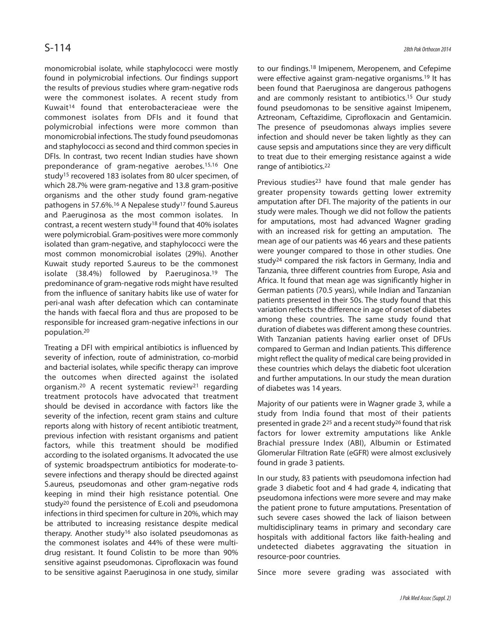monomicrobial isolate, while staphylococci were mostly found in polymicrobial infections. Our findings support the results of previous studies where gram-negative rods were the commonest isolates. A recent study from Kuwait<sup>14</sup> found that enterobacteracieae were the commonest isolates from DFIs and it found that polymicrobial infections were more common than monomicrobial infections. The study found pseudomonas and staphylococci as second and third common species in DFIs. In contrast, two recent Indian studies have shown preponderance of gram-negative aerobes.15,16 One study<sup>15</sup> recovered 183 isolates from 80 ulcer specimen, of which 28.7% were gram-negative and 13.8 gram-positive organisms and the other study found gram-negative pathogens in 57.6%.<sup>16</sup> A Nepalese study<sup>17</sup> found S.aureus and P.aeruginosa as the most common isolates. In contrast, a recent western study<sup>18</sup> found that 40% isolates were polymicrobial. Gram-positives were more commonly isolated than gram-negative, and staphylococci were the most common monomicrobial isolates (29%). Another Kuwait study reported S.aureus to be the commonest isolate (38.4%) followed by P.aeruginosa.<sup>19</sup> The predominance of gram-negative rods might have resulted from the influence of sanitary habits like use of water for peri-anal wash after defecation which can contaminate the hands with faecal flora and thus are proposed to be responsible for increased gram-negative infections in our population.<sup>20</sup>

Treating a DFI with empirical antibiotics is influenced by severity of infection, route of administration, co-morbid and bacterial isolates, while specific therapy can improve the outcomes when directed against the isolated organism.<sup>20</sup> A recent systematic review<sup>21</sup> regarding treatment protocols have advocated that treatment should be devised in accordance with factors like the severity of the infection, recent gram stains and culture reports along with history of recent antibiotic treatment, previous infection with resistant organisms and patient factors, while this treatment should be modified according to the isolated organisms. It advocated the use of systemic broadspectrum antibiotics for moderate-tosevere infections and therapy should be directed against S.aureus, pseudomonas and other gram-negative rods keeping in mind their high resistance potential. One study<sup>20</sup> found the persistence of E.coli and pseudomona infections in third specimen for culture in 20%, which may be attributed to increasing resistance despite medical therapy. Another study<sup>16</sup> also isolated pseudomonas as the commonest isolates and 44% of these were multidrug resistant. It found Colistin to be more than 90% sensitive against pseudomonas. Ciprofloxacin was found to be sensitive against P.aeruginosa in one study, similar to our findings.<sup>18</sup> Imipenem, Meropenem, and Cefepime were effective against gram-negative organisms.<sup>19</sup> It has been found that P.aeruginosa are dangerous pathogens and are commonly resistant to antibiotics.<sup>15</sup> Our study found pseudomonas to be sensitive against Imipenem, Aztreonam, Ceftazidime, Ciprofloxacin and Gentamicin. The presence of pseudomonas always implies severe infection and should never be taken lightly as they can cause sepsis and amputations since they are very difficult to treat due to their emerging resistance against a wide range of antibiotics.<sup>22</sup>

Previous studies<sup>23</sup> have found that male gender has greater propensity towards getting lower extremity amputation after DFI. The majority of the patients in our study were males. Though we did not follow the patients for amputations, most had advanced Wagner grading with an increased risk for getting an amputation. The mean age of our patients was 46 years and these patients were younger compared to those in other studies. One study<sup>24</sup> compared the risk factors in Germany, India and Tanzania, three different countries from Europe, Asia and Africa. It found that mean age was significantly higher in German patients (70.5 years), while Indian and Tanzanian patients presented in their 50s. The study found that this variation reflects the difference in age of onset of diabetes among these countries. The same study found that duration of diabetes was different among these countries. With Tanzanian patients having earlier onset of DFUs compared to German and Indian patients. This difference might reflect the quality of medical care being provided in these countries which delays the diabetic foot ulceration and further amputations. In our study the mean duration of diabetes was 14 years.

Majority of our patients were in Wagner grade 3, while a study from India found that most of their patients presented in grade 2<sup>25</sup> and a recent study<sup>26</sup> found that risk factors for lower extremity amputations like Ankle Brachial pressure Index (ABI), Albumin or Estimated Glomerular Filtration Rate (eGFR) were almost exclusively found in grade 3 patients.

In our study, 83 patients with pseudomona infection had grade 3 diabetic foot and 4 had grade 4, indicating that pseudomona infections were more severe and may make the patient prone to future amputations. Presentation of such severe cases showed the lack of liaison between multidisciplinary teams in primary and secondary care hospitals with additional factors like faith-healing and undetected diabetes aggravating the situation in resource-poor countries.

Since more severe grading was associated with